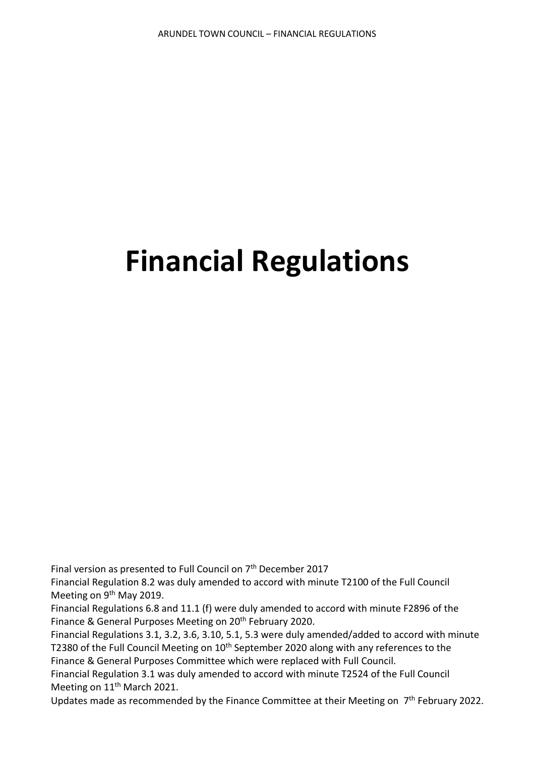# **Financial Regulations**

Final version as presented to Full Council on 7th December 2017

Financial Regulation 8.2 was duly amended to accord with minute T2100 of the Full Council Meeting on 9<sup>th</sup> May 2019.

Financial Regulations 6.8 and 11.1 (f) were duly amended to accord with minute F2896 of the Finance & General Purposes Meeting on 20<sup>th</sup> February 2020.

Financial Regulations 3.1, 3.2, 3.6, 3.10, 5.1, 5.3 were duly amended/added to accord with minute T2380 of the Full Council Meeting on 10<sup>th</sup> September 2020 along with any references to the Finance & General Purposes Committee which were replaced with Full Council.

Financial Regulation 3.1 was duly amended to accord with minute T2524 of the Full Council Meeting on 11<sup>th</sup> March 2021.

Updates made as recommended by the Finance Committee at their Meeting on 7<sup>th</sup> February 2022.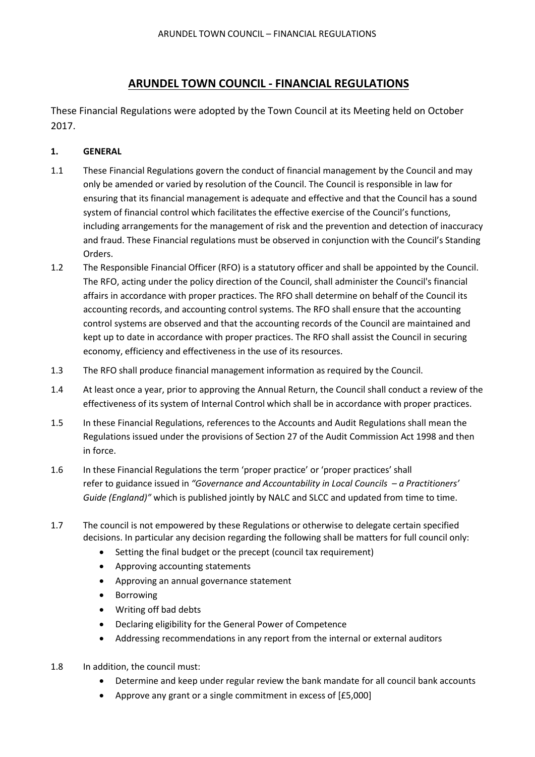## **ARUNDEL TOWN COUNCIL - FINANCIAL REGULATIONS**

These Financial Regulations were adopted by the Town Council at its Meeting held on October 2017.

## **1. GENERAL**

- 1.1 These Financial Regulations govern the conduct of financial management by the Council and may only be amended or varied by resolution of the Council. The Council is responsible in law for ensuring that its financial management is adequate and effective and that the Council has a sound system of financial control which facilitates the effective exercise of the Council's functions, including arrangements for the management of risk and the prevention and detection of inaccuracy and fraud. These Financial regulations must be observed in conjunction with the Council's Standing Orders.
- 1.2 The Responsible Financial Officer (RFO) is a statutory officer and shall be appointed by the Council. The RFO, acting under the policy direction of the Council, shall administer the Council's financial affairs in accordance with proper practices. The RFO shall determine on behalf of the Council its accounting records, and accounting control systems. The RFO shall ensure that the accounting control systems are observed and that the accounting records of the Council are maintained and kept up to date in accordance with proper practices. The RFO shall assist the Council in securing economy, efficiency and effectiveness in the use of its resources.
- 1.3 The RFO shall produce financial management information as required by the Council.
- 1.4 At least once a year, prior to approving the Annual Return, the Council shall conduct a review of the effectiveness of its system of Internal Control which shall be in accordance with proper practices.
- 1.5 In these Financial Regulations, references to the Accounts and Audit Regulations shall mean the Regulations issued under the provisions of Section 27 of the Audit Commission Act 1998 and then in force.
- 1.6 In these Financial Regulations the term 'proper practice' or 'proper practices' shall refer to guidance issued in *"Governance and Accountability in Local Councils – a Practitioners' Guide (England)"* which is published jointly by NALC and SLCC and updated from time to time.
- 1.7 The council is not empowered by these Regulations or otherwise to delegate certain specified decisions. In particular any decision regarding the following shall be matters for full council only:
	- Setting the final budget or the precept (council tax requirement)
	- Approving accounting statements
	- Approving an annual governance statement
	- **Borrowing**
	- Writing off bad debts
	- Declaring eligibility for the General Power of Competence
	- Addressing recommendations in any report from the internal or external auditors
- 1.8 In addition, the council must:
	- Determine and keep under regular review the bank mandate for all council bank accounts
	- Approve any grant or a single commitment in excess of [£5,000]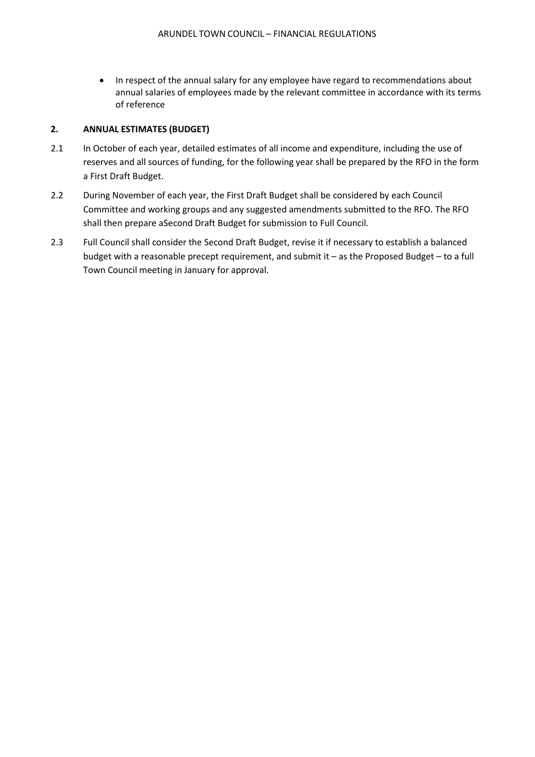• In respect of the annual salary for any employee have regard to recommendations about annual salaries of employees made by the relevant committee in accordance with its terms of reference

## **2. ANNUAL ESTIMATES (BUDGET)**

- 2.1 In October of each year, detailed estimates of all income and expenditure, including the use of reserves and all sources of funding, for the following year shall be prepared by the RFO in the form a First Draft Budget.
- 2.2 During November of each year, the First Draft Budget shall be considered by each Council Committee and working groups and any suggested amendments submitted to the RFO. The RFO shall then prepare aSecond Draft Budget for submission to Full Council.
- 2.3 Full Council shall consider the Second Draft Budget, revise it if necessary to establish a balanced budget with a reasonable precept requirement, and submit it – as the Proposed Budget – to a full Town Council meeting in January for approval.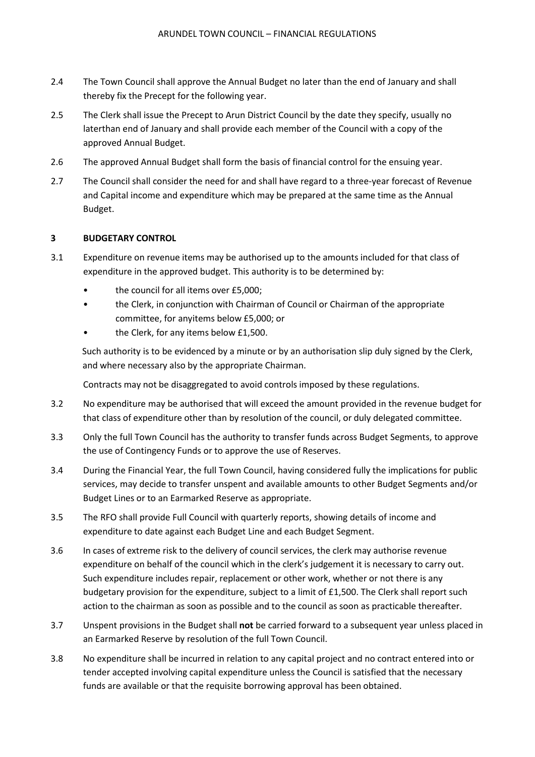- 2.4 The Town Council shall approve the Annual Budget no later than the end of January and shall thereby fix the Precept for the following year.
- 2.5 The Clerk shall issue the Precept to Arun District Council by the date they specify, usually no laterthan end of January and shall provide each member of the Council with a copy of the approved Annual Budget.
- 2.6 The approved Annual Budget shall form the basis of financial control for the ensuing year.
- 2.7 The Council shall consider the need for and shall have regard to a three-year forecast of Revenue and Capital income and expenditure which may be prepared at the same time as the Annual Budget.

## **3 BUDGETARY CONTROL**

- 3.1 Expenditure on revenue items may be authorised up to the amounts included for that class of expenditure in the approved budget. This authority is to be determined by:
	- the council for all items over £5,000;
	- the Clerk, in conjunction with Chairman of Council or Chairman of the appropriate committee, for anyitems below £5,000; or
	- the Clerk, for any items below £1,500.

Such authority is to be evidenced by a minute or by an authorisation slip duly signed by the Clerk, and where necessary also by the appropriate Chairman.

Contracts may not be disaggregated to avoid controls imposed by these regulations.

- 3.2 No expenditure may be authorised that will exceed the amount provided in the revenue budget for that class of expenditure other than by resolution of the council, or duly delegated committee.
- 3.3 Only the full Town Council has the authority to transfer funds across Budget Segments, to approve the use of Contingency Funds or to approve the use of Reserves.
- 3.4 During the Financial Year, the full Town Council, having considered fully the implications for public services, may decide to transfer unspent and available amounts to other Budget Segments and/or Budget Lines or to an Earmarked Reserve as appropriate.
- 3.5 The RFO shall provide Full Council with quarterly reports, showing details of income and expenditure to date against each Budget Line and each Budget Segment.
- 3.6 In cases of extreme risk to the delivery of council services, the clerk may authorise revenue expenditure on behalf of the council which in the clerk's judgement it is necessary to carry out. Such expenditure includes repair, replacement or other work, whether or not there is any budgetary provision for the expenditure, subject to a limit of £1,500. The Clerk shall report such action to the chairman as soon as possible and to the council as soon as practicable thereafter.
- 3.7 Unspent provisions in the Budget shall **not** be carried forward to a subsequent year unless placed in an Earmarked Reserve by resolution of the full Town Council.
- 3.8 No expenditure shall be incurred in relation to any capital project and no contract entered into or tender accepted involving capital expenditure unless the Council is satisfied that the necessary funds are available or that the requisite borrowing approval has been obtained.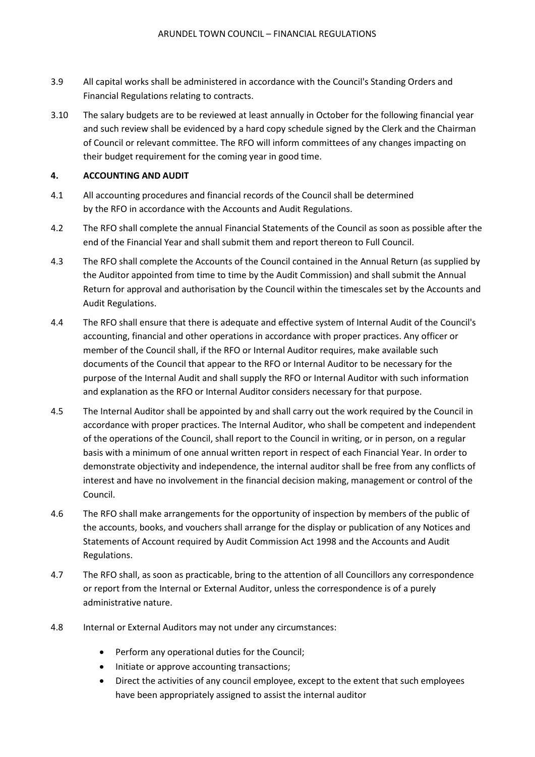- 3.9 All capital works shall be administered in accordance with the Council's Standing Orders and Financial Regulations relating to contracts.
- 3.10 The salary budgets are to be reviewed at least annually in October for the following financial year and such review shall be evidenced by a hard copy schedule signed by the Clerk and the Chairman of Council or relevant committee. The RFO will inform committees of any changes impacting on their budget requirement for the coming year in good time.

### **4. ACCOUNTING AND AUDIT**

- 4.1 All accounting procedures and financial records of the Council shall be determined by the RFO in accordance with the Accounts and Audit Regulations.
- 4.2 The RFO shall complete the annual Financial Statements of the Council as soon as possible after the end of the Financial Year and shall submit them and report thereon to Full Council.
- 4.3 The RFO shall complete the Accounts of the Council contained in the Annual Return (as supplied by the Auditor appointed from time to time by the Audit Commission) and shall submit the Annual Return for approval and authorisation by the Council within the timescales set by the Accounts and Audit Regulations.
- 4.4 The RFO shall ensure that there is adequate and effective system of Internal Audit of the Council's accounting, financial and other operations in accordance with proper practices. Any officer or member of the Council shall, if the RFO or Internal Auditor requires, make available such documents of the Council that appear to the RFO or Internal Auditor to be necessary for the purpose of the Internal Audit and shall supply the RFO or Internal Auditor with such information and explanation as the RFO or Internal Auditor considers necessary for that purpose.
- 4.5 The Internal Auditor shall be appointed by and shall carry out the work required by the Council in accordance with proper practices. The Internal Auditor, who shall be competent and independent of the operations of the Council, shall report to the Council in writing, or in person, on a regular basis with a minimum of one annual written report in respect of each Financial Year. In order to demonstrate objectivity and independence, the internal auditor shall be free from any conflicts of interest and have no involvement in the financial decision making, management or control of the Council.
- 4.6 The RFO shall make arrangements for the opportunity of inspection by members of the public of the accounts, books, and vouchers shall arrange for the display or publication of any Notices and Statements of Account required by Audit Commission Act 1998 and the Accounts and Audit Regulations.
- 4.7 The RFO shall, as soon as practicable, bring to the attention of all Councillors any correspondence or report from the Internal or External Auditor, unless the correspondence is of a purely administrative nature.
- 4.8 Internal or External Auditors may not under any circumstances:
	- Perform any operational duties for the Council;
	- Initiate or approve accounting transactions;
	- Direct the activities of any council employee, except to the extent that such employees have been appropriately assigned to assist the internal auditor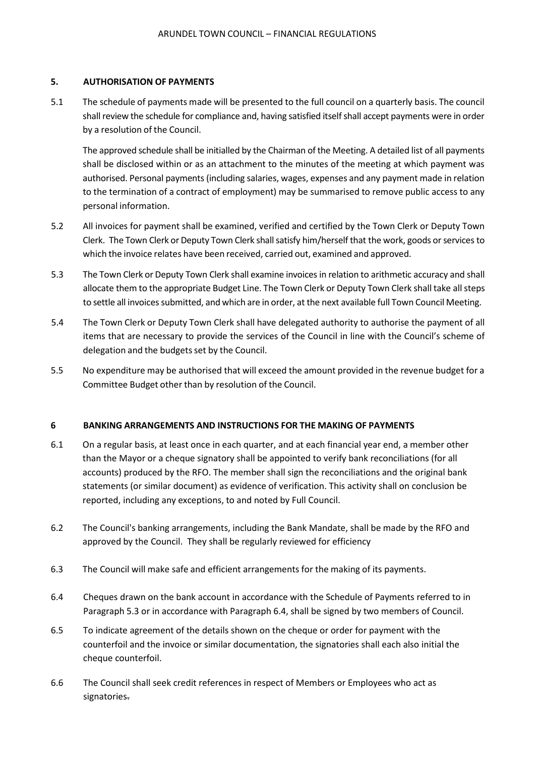## **5. AUTHORISATION OF PAYMENTS**

5.1 The schedule of payments made will be presented to the full council on a quarterly basis. The council shall review the schedule for compliance and, having satisfied itself shall accept payments were in order by a resolution of the Council.

The approved schedule shall be initialled by the Chairman of the Meeting. A detailed list of all payments shall be disclosed within or as an attachment to the minutes of the meeting at which payment was authorised. Personal payments (including salaries, wages, expenses and any payment made in relation to the termination of a contract of employment) may be summarised to remove public access to any personal information.

- 5.2 All invoices for payment shall be examined, verified and certified by the Town Clerk or Deputy Town Clerk. The Town Clerk or Deputy Town Clerk shall satisfy him/herself that the work, goods or services to which the invoice relates have been received, carried out, examined and approved.
- 5.3 The Town Clerk or Deputy Town Clerk shall examine invoices in relation to arithmetic accuracy and shall allocate them to the appropriate Budget Line. The Town Clerk or Deputy Town Clerk shall take allsteps to settle all invoices submitted, and which are in order, at the next available full Town Council Meeting.
- 5.4 The Town Clerk or Deputy Town Clerk shall have delegated authority to authorise the payment of all items that are necessary to provide the services of the Council in line with the Council's scheme of delegation and the budgets set by the Council.
- 5.5 No expenditure may be authorised that will exceed the amount provided in the revenue budget for a Committee Budget other than by resolution of the Council.

#### **6 BANKING ARRANGEMENTS AND INSTRUCTIONS FOR THE MAKING OF PAYMENTS**

- 6.1 On a regular basis, at least once in each quarter, and at each financial year end, a member other than the Mayor or a cheque signatory shall be appointed to verify bank reconciliations (for all accounts) produced by the RFO. The member shall sign the reconciliations and the original bank statements (or similar document) as evidence of verification. This activity shall on conclusion be reported, including any exceptions, to and noted by Full Council.
- 6.2 The Council's banking arrangements, including the Bank Mandate, shall be made by the RFO and approved by the Council. They shall be regularly reviewed for efficiency
- 6.3 The Council will make safe and efficient arrangements for the making of its payments.
- 6.4 Cheques drawn on the bank account in accordance with the Schedule of Payments referred to in Paragraph 5.3 or in accordance with Paragraph 6.4, shall be signed by two members of Council.
- 6.5 To indicate agreement of the details shown on the cheque or order for payment with the counterfoil and the invoice or similar documentation, the signatories shall each also initial the cheque counterfoil.
- 6.6 The Council shall seek credit references in respect of Members or Employees who act as signatories.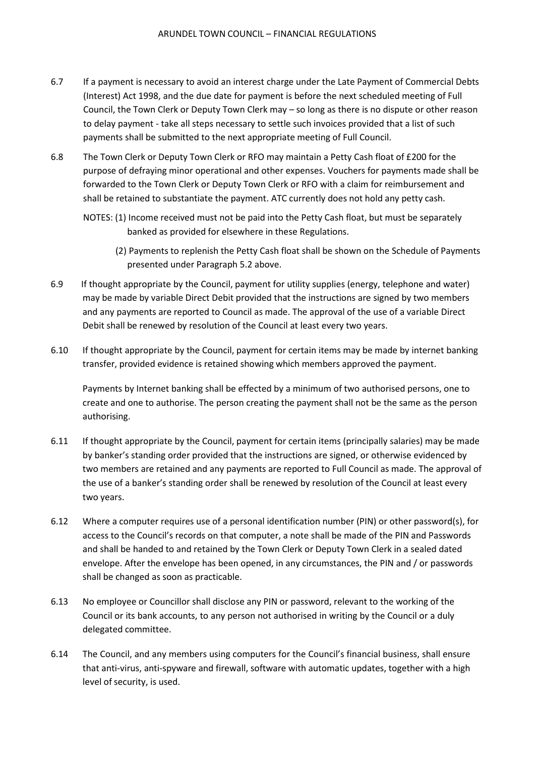- 6.7 If a payment is necessary to avoid an interest charge under the Late Payment of Commercial Debts (Interest) Act 1998, and the due date for payment is before the next scheduled meeting of Full Council, the Town Clerk or Deputy Town Clerk may – so long as there is no dispute or other reason to delay payment - take all steps necessary to settle such invoices provided that a list of such payments shall be submitted to the next appropriate meeting of Full Council.
- 6.8 The Town Clerk or Deputy Town Clerk or RFO may maintain a Petty Cash float of £200 for the purpose of defraying minor operational and other expenses. Vouchers for payments made shall be forwarded to the Town Clerk or Deputy Town Clerk or RFO with a claim for reimbursement and shall be retained to substantiate the payment. ATC currently does not hold any petty cash.
	- NOTES: (1) Income received must not be paid into the Petty Cash float, but must be separately banked as provided for elsewhere in these Regulations.
		- (2) Payments to replenish the Petty Cash float shall be shown on the Schedule of Payments presented under Paragraph 5.2 above.
- 6.9 If thought appropriate by the Council, payment for utility supplies (energy, telephone and water) may be made by variable Direct Debit provided that the instructions are signed by two members and any payments are reported to Council as made. The approval of the use of a variable Direct Debit shall be renewed by resolution of the Council at least every two years.
- 6.10 If thought appropriate by the Council, payment for certain items may be made by internet banking transfer, provided evidence is retained showing which members approved the payment.

Payments by Internet banking shall be effected by a minimum of two authorised persons, one to create and one to authorise. The person creating the payment shall not be the same as the person authorising.

- 6.11 If thought appropriate by the Council, payment for certain items (principally salaries) may be made by banker's standing order provided that the instructions are signed, or otherwise evidenced by two members are retained and any payments are reported to Full Council as made. The approval of the use of a banker's standing order shall be renewed by resolution of the Council at least every two years.
- 6.12 Where a computer requires use of a personal identification number (PIN) or other password(s), for access to the Council's records on that computer, a note shall be made of the PIN and Passwords and shall be handed to and retained by the Town Clerk or Deputy Town Clerk in a sealed dated envelope. After the envelope has been opened, in any circumstances, the PIN and / or passwords shall be changed as soon as practicable.
- 6.13 No employee or Councillor shall disclose any PIN or password, relevant to the working of the Council or its bank accounts, to any person not authorised in writing by the Council or a duly delegated committee.
- 6.14 The Council, and any members using computers for the Council's financial business, shall ensure that anti-virus, anti-spyware and firewall, software with automatic updates, together with a high level of security, is used.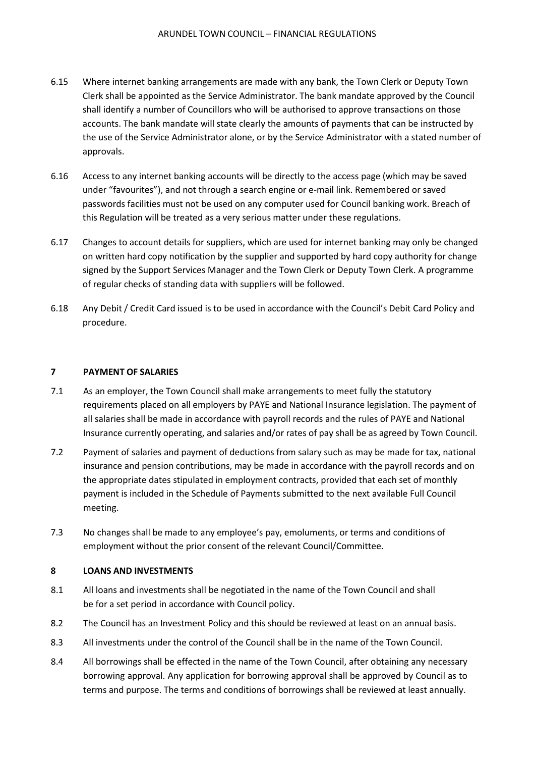- 6.15 Where internet banking arrangements are made with any bank, the Town Clerk or Deputy Town Clerk shall be appointed as the Service Administrator. The bank mandate approved by the Council shall identify a number of Councillors who will be authorised to approve transactions on those accounts. The bank mandate will state clearly the amounts of payments that can be instructed by the use of the Service Administrator alone, or by the Service Administrator with a stated number of approvals.
- 6.16 Access to any internet banking accounts will be directly to the access page (which may be saved under "favourites"), and not through a search engine or e-mail link. Remembered or saved passwords facilities must not be used on any computer used for Council banking work. Breach of this Regulation will be treated as a very serious matter under these regulations.
- 6.17 Changes to account details for suppliers, which are used for internet banking may only be changed on written hard copy notification by the supplier and supported by hard copy authority for change signed by the Support Services Manager and the Town Clerk or Deputy Town Clerk. A programme of regular checks of standing data with suppliers will be followed.
- 6.18 Any Debit / Credit Card issued is to be used in accordance with the Council's Debit Card Policy and procedure.

### **7 PAYMENT OF SALARIES**

- 7.1 As an employer, the Town Council shall make arrangements to meet fully the statutory requirements placed on all employers by PAYE and National Insurance legislation. The payment of all salaries shall be made in accordance with payroll records and the rules of PAYE and National Insurance currently operating, and salaries and/or rates of pay shall be as agreed by Town Council.
- 7.2 Payment of salaries and payment of deductions from salary such as may be made for tax, national insurance and pension contributions, may be made in accordance with the payroll records and on the appropriate dates stipulated in employment contracts, provided that each set of monthly payment is included in the Schedule of Payments submitted to the next available Full Council meeting.
- 7.3 No changes shall be made to any employee's pay, emoluments, or terms and conditions of employment without the prior consent of the relevant Council/Committee.

#### **8 LOANS AND INVESTMENTS**

- 8.1 All loans and investments shall be negotiated in the name of the Town Council and shall be for a set period in accordance with Council policy.
- 8.2 The Council has an Investment Policy and this should be reviewed at least on an annual basis.
- 8.3 All investments under the control of the Council shall be in the name of the Town Council.
- 8.4 All borrowings shall be effected in the name of the Town Council, after obtaining any necessary borrowing approval. Any application for borrowing approval shall be approved by Council as to terms and purpose. The terms and conditions of borrowings shall be reviewed at least annually.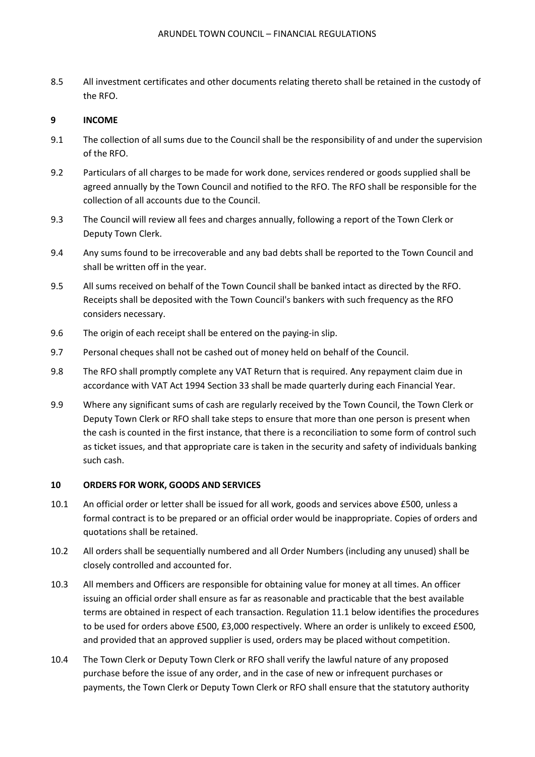8.5 All investment certificates and other documents relating thereto shall be retained in the custody of the RFO.

## **9 INCOME**

- 9.1 The collection of all sums due to the Council shall be the responsibility of and under the supervision of the RFO.
- 9.2 Particulars of all charges to be made for work done, services rendered or goods supplied shall be agreed annually by the Town Council and notified to the RFO. The RFO shall be responsible for the collection of all accounts due to the Council.
- 9.3 The Council will review all fees and charges annually, following a report of the Town Clerk or Deputy Town Clerk.
- 9.4 Any sums found to be irrecoverable and any bad debts shall be reported to the Town Council and shall be written off in the year.
- 9.5 All sums received on behalf of the Town Council shall be banked intact as directed by the RFO. Receipts shall be deposited with the Town Council's bankers with such frequency as the RFO considers necessary.
- 9.6 The origin of each receipt shall be entered on the paying-in slip.
- 9.7 Personal cheques shall not be cashed out of money held on behalf of the Council.
- 9.8 The RFO shall promptly complete any VAT Return that is required. Any repayment claim due in accordance with VAT Act 1994 Section 33 shall be made quarterly during each Financial Year.
- 9.9 Where any significant sums of cash are regularly received by the Town Council, the Town Clerk or Deputy Town Clerk or RFO shall take steps to ensure that more than one person is present when the cash is counted in the first instance, that there is a reconciliation to some form of control such as ticket issues, and that appropriate care is taken in the security and safety of individuals banking such cash.

#### **10 ORDERS FOR WORK, GOODS AND SERVICES**

- 10.1 An official order or letter shall be issued for all work, goods and services above £500, unless a formal contract is to be prepared or an official order would be inappropriate. Copies of orders and quotations shall be retained.
- 10.2 All orders shall be sequentially numbered and all Order Numbers (including any unused) shall be closely controlled and accounted for.
- 10.3 All members and Officers are responsible for obtaining value for money at all times. An officer issuing an official order shall ensure as far as reasonable and practicable that the best available terms are obtained in respect of each transaction. Regulation 11.1 below identifies the procedures to be used for orders above £500, £3,000 respectively. Where an order is unlikely to exceed £500, and provided that an approved supplier is used, orders may be placed without competition.
- 10.4 The Town Clerk or Deputy Town Clerk or RFO shall verify the lawful nature of any proposed purchase before the issue of any order, and in the case of new or infrequent purchases or payments, the Town Clerk or Deputy Town Clerk or RFO shall ensure that the statutory authority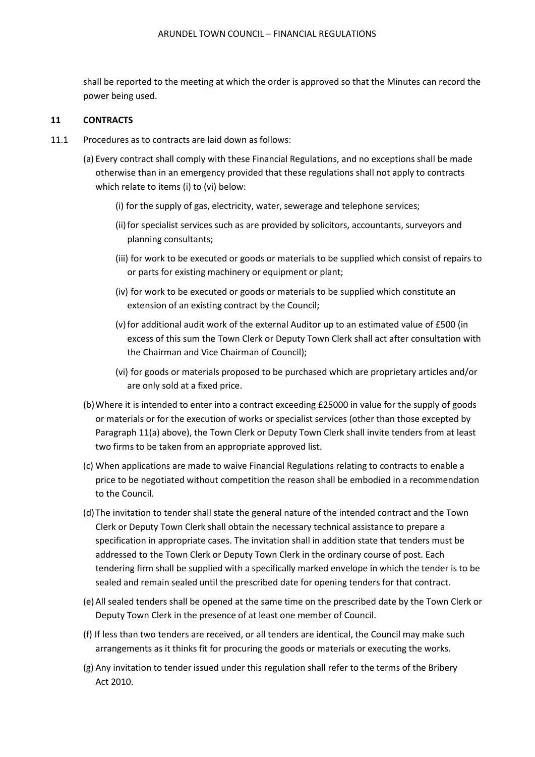shall be reported to the meeting at which the order is approved so that the Minutes can record the power being used.

#### **11 CONTRACTS**

- 11.1 Procedures as to contracts are laid down as follows:
	- (a) Every contract shall comply with these Financial Regulations, and no exceptions shall be made otherwise than in an emergency provided that these regulations shall not apply to contracts which relate to items (i) to (vi) below:
		- (i) for the supply of gas, electricity, water, sewerage and telephone services;
		- (ii) for specialist services such as are provided by solicitors, accountants, surveyors and planning consultants;
		- (iii) for work to be executed or goods or materials to be supplied which consist of repairs to or parts for existing machinery or equipment or plant;
		- (iv) for work to be executed or goods or materials to be supplied which constitute an extension of an existing contract by the Council;
		- (v) for additional audit work of the external Auditor up to an estimated value of £500 (in excess of this sum the Town Clerk or Deputy Town Clerk shall act after consultation with the Chairman and Vice Chairman of Council);
		- (vi) for goods or materials proposed to be purchased which are proprietary articles and/or are only sold at a fixed price.
	- (b)Where it is intended to enter into a contract exceeding £25000 in value for the supply of goods or materials or for the execution of works or specialist services (other than those excepted by Paragraph 11(a) above), the Town Clerk or Deputy Town Clerk shall invite tenders from at least two firms to be taken from an appropriate approved list.
	- (c) When applications are made to waive Financial Regulations relating to contracts to enable a price to be negotiated without competition the reason shall be embodied in a recommendation to the Council.
	- (d)The invitation to tender shall state the general nature of the intended contract and the Town Clerk or Deputy Town Clerk shall obtain the necessary technical assistance to prepare a specification in appropriate cases. The invitation shall in addition state that tenders must be addressed to the Town Clerk or Deputy Town Clerk in the ordinary course of post. Each tendering firm shall be supplied with a specifically marked envelope in which the tender is to be sealed and remain sealed until the prescribed date for opening tenders for that contract.
	- (e)All sealed tenders shall be opened at the same time on the prescribed date by the Town Clerk or Deputy Town Clerk in the presence of at least one member of Council.
	- (f) If less than two tenders are received, or all tenders are identical, the Council may make such arrangements as it thinks fit for procuring the goods or materials or executing the works.
	- (g) Any invitation to tender issued under this regulation shall refer to the terms of the Bribery Act 2010.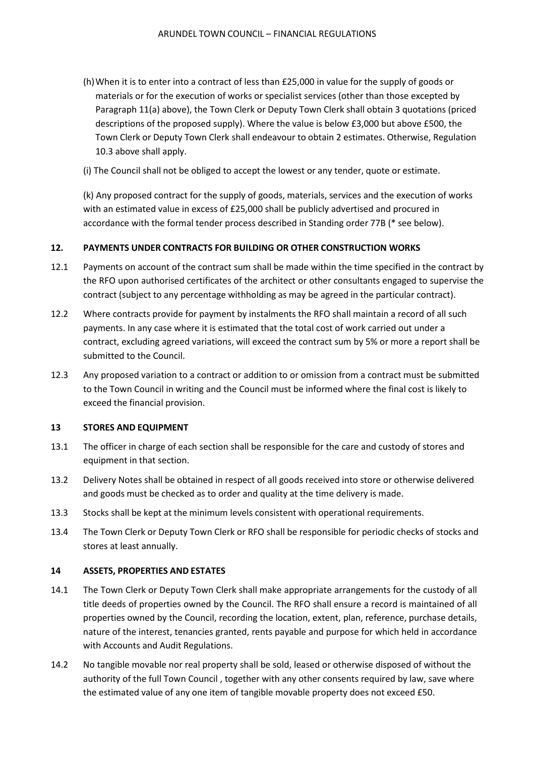- (h)When it is to enter into a contract of less than £25,000 in value for the supply of goods or materials or for the execution of works or specialist services (other than those excepted by Paragraph 11(a) above), the Town Clerk or Deputy Town Clerk shall obtain 3 quotations (priced descriptions of the proposed supply). Where the value is below £3,000 but above £500, the Town Clerk or Deputy Town Clerk shall endeavour to obtain 2 estimates. Otherwise, Regulation 10.3 above shall apply.
- (i) The Council shall not be obliged to accept the lowest or any tender, quote or estimate.

(k) Any proposed contract for the supply of goods, materials, services and the execution of works with an estimated value in excess of £25,000 shall be publicly advertised and procured in accordance with the formal tender process described in Standing order 77B (\* see below).

### **12. PAYMENTS UNDER CONTRACTS FOR BUILDING OR OTHER CONSTRUCTION WORKS**

- 12.1 Payments on account of the contract sum shall be made within the time specified in the contract by the RFO upon authorised certificates of the architect or other consultants engaged to supervise the contract (subject to any percentage withholding as may be agreed in the particular contract).
- 12.2 Where contracts provide for payment by instalments the RFO shall maintain a record of all such payments. In any case where it is estimated that the total cost of work carried out under a contract, excluding agreed variations, will exceed the contract sum by 5% or more a report shall be submitted to the Council.
- 12.3 Any proposed variation to a contract or addition to or omission from a contract must be submitted to the Town Council in writing and the Council must be informed where the final cost is likely to exceed the financial provision.

#### **13 STORES AND EQUIPMENT**

- 13.1 The officer in charge of each section shall be responsible for the care and custody of stores and equipment in that section.
- 13.2 Delivery Notes shall be obtained in respect of all goods received into store or otherwise delivered and goods must be checked as to order and quality at the time delivery is made.
- 13.3 Stocks shall be kept at the minimum levels consistent with operational requirements.
- 13.4 The Town Clerk or Deputy Town Clerk or RFO shall be responsible for periodic checks of stocks and stores at least annually.

#### **14 ASSETS, PROPERTIES AND ESTATES**

- 14.1 The Town Clerk or Deputy Town Clerk shall make appropriate arrangements for the custody of all title deeds of properties owned by the Council. The RFO shall ensure a record is maintained of all properties owned by the Council, recording the location, extent, plan, reference, purchase details, nature of the interest, tenancies granted, rents payable and purpose for which held in accordance with Accounts and Audit Regulations.
- 14.2 No tangible movable nor real property shall be sold, leased or otherwise disposed of without the authority of the full Town Council , together with any other consents required by law, save where the estimated value of any one item of tangible movable property does not exceed £50.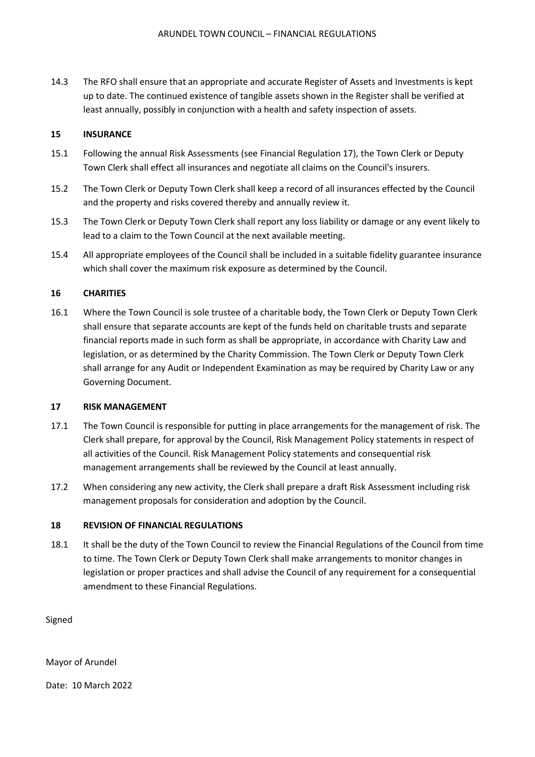14.3 The RFO shall ensure that an appropriate and accurate Register of Assets and Investments is kept up to date. The continued existence of tangible assets shown in the Register shall be verified at least annually, possibly in conjunction with a health and safety inspection of assets.

## **15 INSURANCE**

- 15.1 Following the annual Risk Assessments (see Financial Regulation 17), the Town Clerk or Deputy Town Clerk shall effect all insurances and negotiate all claims on the Council's insurers.
- 15.2 The Town Clerk or Deputy Town Clerk shall keep a record of all insurances effected by the Council and the property and risks covered thereby and annually review it.
- 15.3 The Town Clerk or Deputy Town Clerk shall report any loss liability or damage or any event likely to lead to a claim to the Town Council at the next available meeting.
- 15.4 All appropriate employees of the Council shall be included in a suitable fidelity guarantee insurance which shall cover the maximum risk exposure as determined by the Council.

### **16 CHARITIES**

16.1 Where the Town Council is sole trustee of a charitable body, the Town Clerk or Deputy Town Clerk shall ensure that separate accounts are kept of the funds held on charitable trusts and separate financial reports made in such form as shall be appropriate, in accordance with Charity Law and legislation, or as determined by the Charity Commission. The Town Clerk or Deputy Town Clerk shall arrange for any Audit or Independent Examination as may be required by Charity Law or any Governing Document.

#### **17 RISK MANAGEMENT**

- 17.1 The Town Council is responsible for putting in place arrangements for the management of risk. The Clerk shall prepare, for approval by the Council, Risk Management Policy statements in respect of all activities of the Council. Risk Management Policy statements and consequential risk management arrangements shall be reviewed by the Council at least annually.
- 17.2 When considering any new activity, the Clerk shall prepare a draft Risk Assessment including risk management proposals for consideration and adoption by the Council.

#### **18 REVISION OF FINANCIAL REGULATIONS**

18.1 It shall be the duty of the Town Council to review the Financial Regulations of the Council from time to time. The Town Clerk or Deputy Town Clerk shall make arrangements to monitor changes in legislation or proper practices and shall advise the Council of any requirement for a consequential amendment to these Financial Regulations.

Signed

Mayor of Arundel

Date: 10 March 2022